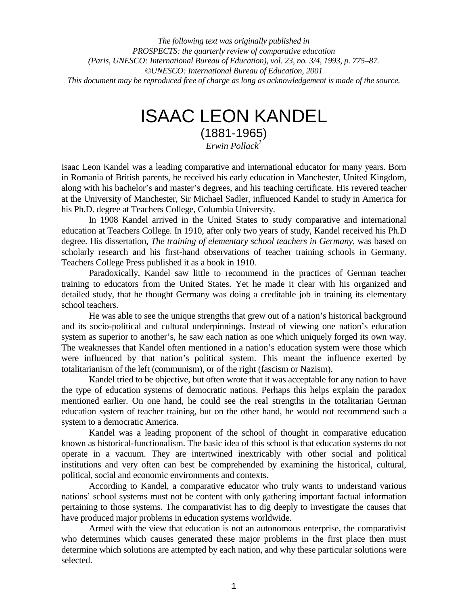*The following text was originally published in PROSPECTS: the quarterly review of comparative education (Paris, UNESCO: International Bureau of Education), vol. 23, no. 3/4, 1993, p. 775–87. ©UNESCO: International Bureau of Education, 2001 This document may be reproduced free of charge as long as acknowledgement is made of the source.*

# ISAAC LEON KANDEL

(1881-1965)

*Erwin Pollack1*

Isaac Leon Kandel was a leading comparative and international educator for many years. Born in Romania of British parents, he received his early education in Manchester, United Kingdom, along with his bachelor's and master's degrees, and his teaching certificate. His revered teacher at the University of Manchester, Sir Michael Sadler, influenced Kandel to study in America for his Ph.D. degree at Teachers College, Columbia University.

In 1908 Kandel arrived in the United States to study comparative and international education at Teachers College. In 1910, after only two years of study, Kandel received his Ph.D degree. His dissertation, *The training of elementary school teachers in Germany*, was based on scholarly research and his first-hand observations of teacher training schools in Germany. Teachers College Press published it as a book in 1910.

Paradoxically, Kandel saw little to recommend in the practices of German teacher training to educators from the United States. Yet he made it clear with his organized and detailed study, that he thought Germany was doing a creditable job in training its elementary school teachers.

He was able to see the unique strengths that grew out of a nation's historical background and its socio-political and cultural underpinnings. Instead of viewing one nation's education system as superior to another's, he saw each nation as one which uniquely forged its own way. The weaknesses that Kandel often mentioned in a nation's education system were those which were influenced by that nation's political system. This meant the influence exerted by totalitarianism of the left (communism), or of the right (fascism or Nazism).

Kandel tried to be objective, but often wrote that it was acceptable for any nation to have the type of education systems of democratic nations. Perhaps this helps explain the paradox mentioned earlier. On one hand, he could see the real strengths in the totalitarian German education system of teacher training, but on the other hand, he would not recommend such a system to a democratic America.

Kandel was a leading proponent of the school of thought in comparative education known as historical-functionalism. The basic idea of this school is that education systems do not operate in a vacuum. They are intertwined inextricably with other social and political institutions and very often can best be comprehended by examining the historical, cultural, political, social and economic environments and contexts.

According to Kandel, a comparative educator who truly wants to understand various nations' school systems must not be content with only gathering important factual information pertaining to those systems. The comparativist has to dig deeply to investigate the causes that have produced major problems in education systems worldwide.

Armed with the view that education is not an autonomous enterprise, the comparativist who determines which causes generated these major problems in the first place then must determine which solutions are attempted by each nation, and why these particular solutions were selected.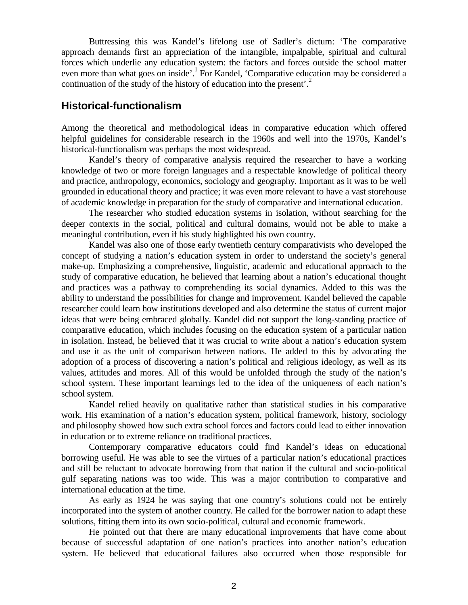Buttressing this was Kandel's lifelong use of Sadler's dictum: 'The comparative approach demands first an appreciation of the intangible, impalpable, spiritual and cultural forces which underlie any education system: the factors and forces outside the school matter even more than what goes on inside'.<sup>1</sup> For Kandel, 'Comparative education may be considered a continuation of the study of the history of education into the present'.<sup>2</sup>

### **Historical-functionalism**

Among the theoretical and methodological ideas in comparative education which offered helpful guidelines for considerable research in the 1960s and well into the 1970s, Kandel's historical-functionalism was perhaps the most widespread.

Kandel's theory of comparative analysis required the researcher to have a working knowledge of two or more foreign languages and a respectable knowledge of political theory and practice, anthropology, economics, sociology and geography. Important as it was to be well grounded in educational theory and practice; it was even more relevant to have a vast storehouse of academic knowledge in preparation for the study of comparative and international education.

The researcher who studied education systems in isolation, without searching for the deeper contexts in the social, political and cultural domains, would not be able to make a meaningful contribution, even if his study highlighted his own country.

Kandel was also one of those early twentieth century comparativists who developed the concept of studying a nation's education system in order to understand the society's general make-up. Emphasizing a comprehensive, linguistic, academic and educational approach to the study of comparative education, he believed that learning about a nation's educational thought and practices was a pathway to comprehending its social dynamics. Added to this was the ability to understand the possibilities for change and improvement. Kandel believed the capable researcher could learn how institutions developed and also determine the status of current major ideas that were being embraced globally. Kandel did not support the long-standing practice of comparative education, which includes focusing on the education system of a particular nation in isolation. Instead, he believed that it was crucial to write about a nation's education system and use it as the unit of comparison between nations. He added to this by advocating the adoption of a process of discovering a nation's political and religious ideology, as well as its values, attitudes and mores. All of this would be unfolded through the study of the nation's school system. These important learnings led to the idea of the uniqueness of each nation's school system.

Kandel relied heavily on qualitative rather than statistical studies in his comparative work. His examination of a nation's education system, political framework, history, sociology and philosophy showed how such extra school forces and factors could lead to either innovation in education or to extreme reliance on traditional practices.

Contemporary comparative educators could find Kandel's ideas on educational borrowing useful. He was able to see the virtues of a particular nation's educational practices and still be reluctant to advocate borrowing from that nation if the cultural and socio-political gulf separating nations was too wide. This was a major contribution to comparative and international education at the time.

As early as 1924 he was saying that one country's solutions could not be entirely incorporated into the system of another country. He called for the borrower nation to adapt these solutions, fitting them into its own socio-political, cultural and economic framework.

He pointed out that there are many educational improvements that have come about because of successful adaptation of one nation's practices into another nation's education system. He believed that educational failures also occurred when those responsible for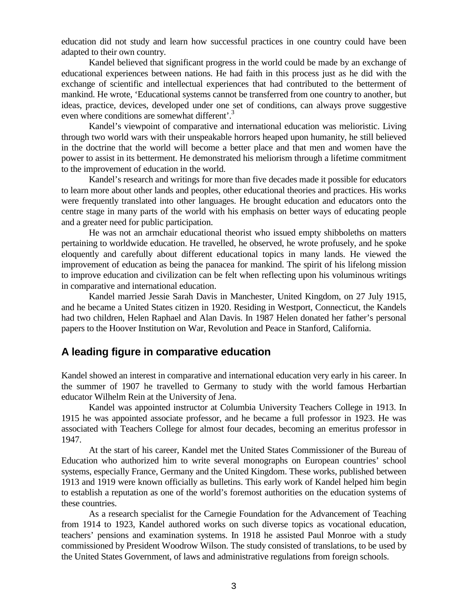education did not study and learn how successful practices in one country could have been adapted to their own country.

Kandel believed that significant progress in the world could be made by an exchange of educational experiences between nations. He had faith in this process just as he did with the exchange of scientific and intellectual experiences that had contributed to the betterment of mankind. He wrote, 'Educational systems cannot be transferred from one country to another, but ideas, practice, devices, developed under one set of conditions, can always prove suggestive even where conditions are somewhat different'.<sup>3</sup>

Kandel's viewpoint of comparative and international education was melioristic. Living through two world wars with their unspeakable horrors heaped upon humanity, he still believed in the doctrine that the world will become a better place and that men and women have the power to assist in its betterment. He demonstrated his meliorism through a lifetime commitment to the improvement of education in the world.

Kandel's research and writings for more than five decades made it possible for educators to learn more about other lands and peoples, other educational theories and practices. His works were frequently translated into other languages. He brought education and educators onto the centre stage in many parts of the world with his emphasis on better ways of educating people and a greater need for public participation.

He was not an armchair educational theorist who issued empty shibboleths on matters pertaining to worldwide education. He travelled, he observed, he wrote profusely, and he spoke eloquently and carefully about different educational topics in many lands. He viewed the improvement of education as being the panacea for mankind. The spirit of his lifelong mission to improve education and civilization can be felt when reflecting upon his voluminous writings in comparative and international education.

Kandel married Jessie Sarah Davis in Manchester, United Kingdom, on 27 July 1915, and he became a United States citizen in 1920. Residing in Westport, Connecticut, the Kandels had two children, Helen Raphael and Alan Davis. In 1987 Helen donated her father's personal papers to the Hoover Institution on War, Revolution and Peace in Stanford, California.

# **A leading figure in comparative education**

Kandel showed an interest in comparative and international education very early in his career. In the summer of 1907 he travelled to Germany to study with the world famous Herbartian educator Wilhelm Rein at the University of Jena.

Kandel was appointed instructor at Columbia University Teachers College in 1913. In 1915 he was appointed associate professor, and he became a full professor in 1923. He was associated with Teachers College for almost four decades, becoming an emeritus professor in 1947.

At the start of his career, Kandel met the United States Commissioner of the Bureau of Education who authorized him to write several monographs on European countries' school systems, especially France, Germany and the United Kingdom. These works, published between 1913 and 1919 were known officially as bulletins. This early work of Kandel helped him begin to establish a reputation as one of the world's foremost authorities on the education systems of these countries.

As a research specialist for the Carnegie Foundation for the Advancement of Teaching from 1914 to 1923, Kandel authored works on such diverse topics as vocational education, teachers' pensions and examination systems. In 1918 he assisted Paul Monroe with a study commissioned by President Woodrow Wilson. The study consisted of translations, to be used by the United States Government, of laws and administrative regulations from foreign schools.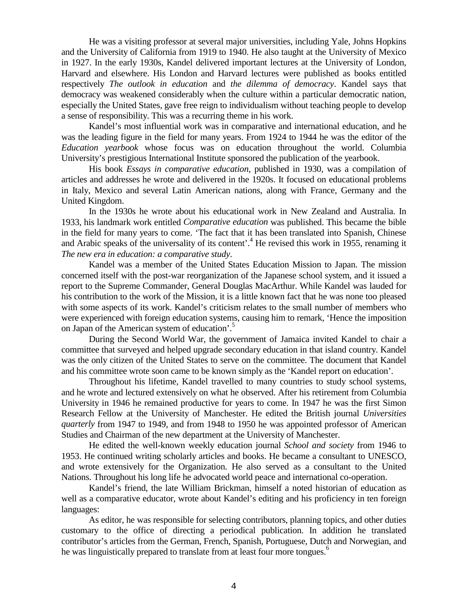He was a visiting professor at several major universities, including Yale, Johns Hopkins and the University of California from 1919 to 1940. He also taught at the University of Mexico in 1927. In the early 1930s, Kandel delivered important lectures at the University of London, Harvard and elsewhere. His London and Harvard lectures were published as books entitled respectively *The outlook in education* and *the dilemma of democracy*. Kandel says that democracy was weakened considerably when the culture within a particular democratic nation, especially the United States, gave free reign to individualism without teaching people to develop a sense of responsibility. This was a recurring theme in his work.

Kandel's most influential work was in comparative and international education, and he was the leading figure in the field for many years. From 1924 to 1944 he was the editor of the *Education yearbook* whose focus was on education throughout the world. Columbia University's prestigious International Institute sponsored the publication of the yearbook.

His book *Essays in comparative education*, published in 1930, was a compilation of articles and addresses he wrote and delivered in the 1920s. It focused on educational problems in Italy, Mexico and several Latin American nations, along with France, Germany and the United Kingdom.

In the 1930s he wrote about his educational work in New Zealand and Australia. In 1933, his landmark work entitled *Comparative education* was published. This became the bible in the field for many years to come. 'The fact that it has been translated into Spanish, Chinese and Arabic speaks of the universality of its content'.<sup>4</sup> He revised this work in 1955, renaming it *The new era in education: a comparative study*.

Kandel was a member of the United States Education Mission to Japan. The mission concerned itself with the post-war reorganization of the Japanese school system, and it issued a report to the Supreme Commander, General Douglas MacArthur. While Kandel was lauded for his contribution to the work of the Mission, it is a little known fact that he was none too pleased with some aspects of its work. Kandel's criticism relates to the small number of members who were experienced with foreign education systems, causing him to remark, 'Hence the imposition on Japan of the American system of education'.<sup>5</sup>

During the Second World War, the government of Jamaica invited Kandel to chair a committee that surveyed and helped upgrade secondary education in that island country. Kandel was the only citizen of the United States to serve on the committee. The document that Kandel and his committee wrote soon came to be known simply as the 'Kandel report on education'.

Throughout his lifetime, Kandel travelled to many countries to study school systems, and he wrote and lectured extensively on what he observed. After his retirement from Columbia University in 1946 he remained productive for years to come. In 1947 he was the first Simon Research Fellow at the University of Manchester. He edited the British journal *Universities quarterly* from 1947 to 1949, and from 1948 to 1950 he was appointed professor of American Studies and Chairman of the new department at the University of Manchester.

He edited the well-known weekly education journal *School and society* from 1946 to 1953. He continued writing scholarly articles and books. He became a consultant to UNESCO, and wrote extensively for the Organization. He also served as a consultant to the United Nations. Throughout his long life he advocated world peace and international co-operation.

Kandel's friend, the late William Brickman, himself a noted historian of education as well as a comparative educator, wrote about Kandel's editing and his proficiency in ten foreign languages:

As editor, he was responsible for selecting contributors, planning topics, and other duties customary to the office of directing a periodical publication. In addition he translated contributor's articles from the German, French, Spanish, Portuguese, Dutch and Norwegian, and he was linguistically prepared to translate from at least four more tongues.<sup>6</sup>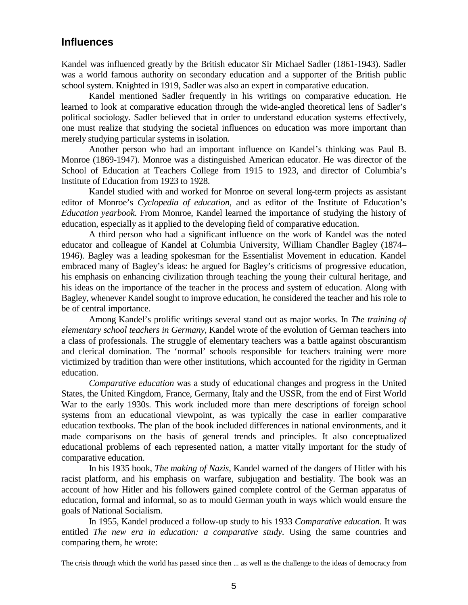#### **Influences**

Kandel was influenced greatly by the British educator Sir Michael Sadler (1861-1943). Sadler was a world famous authority on secondary education and a supporter of the British public school system. Knighted in 1919, Sadler was also an expert in comparative education.

Kandel mentioned Sadler frequently in his writings on comparative education. He learned to look at comparative education through the wide-angled theoretical lens of Sadler's political sociology. Sadler believed that in order to understand education systems effectively, one must realize that studying the societal influences on education was more important than merely studying particular systems in isolation.

Another person who had an important influence on Kandel's thinking was Paul B. Monroe (1869-1947). Monroe was a distinguished American educator. He was director of the School of Education at Teachers College from 1915 to 1923, and director of Columbia's Institute of Education from 1923 to 1928.

Kandel studied with and worked for Monroe on several long-term projects as assistant editor of Monroe's *Cyclopedia of education*, and as editor of the Institute of Education's *Education yearbook*. From Monroe, Kandel learned the importance of studying the history of education, especially as it applied to the developing field of comparative education.

A third person who had a significant influence on the work of Kandel was the noted educator and colleague of Kandel at Columbia University, William Chandler Bagley (1874– 1946). Bagley was a leading spokesman for the Essentialist Movement in education. Kandel embraced many of Bagley's ideas: he argued for Bagley's criticisms of progressive education, his emphasis on enhancing civilization through teaching the young their cultural heritage, and his ideas on the importance of the teacher in the process and system of education. Along with Bagley, whenever Kandel sought to improve education, he considered the teacher and his role to be of central importance.

Among Kandel's prolific writings several stand out as major works. In *The training of elementary school teachers in Germany*, Kandel wrote of the evolution of German teachers into a class of professionals. The struggle of elementary teachers was a battle against obscurantism and clerical domination. The 'normal' schools responsible for teachers training were more victimized by tradition than were other institutions, which accounted for the rigidity in German education.

*Comparative education* was a study of educational changes and progress in the United States, the United Kingdom, France, Germany, Italy and the USSR, from the end of First World War to the early 1930s. This work included more than mere descriptions of foreign school systems from an educational viewpoint, as was typically the case in earlier comparative education textbooks. The plan of the book included differences in national environments, and it made comparisons on the basis of general trends and principles. It also conceptualized educational problems of each represented nation, a matter vitally important for the study of comparative education.

In his 1935 book, *The making of Nazis*, Kandel warned of the dangers of Hitler with his racist platform, and his emphasis on warfare, subjugation and bestiality. The book was an account of how Hitler and his followers gained complete control of the German apparatus of education, formal and informal, so as to mould German youth in ways which would ensure the goals of National Socialism.

In 1955, Kandel produced a follow-up study to his 1933 *Comparative education*. It was entitled *The new era in education: a comparative study*. Using the same countries and comparing them, he wrote:

The crisis through which the world has passed since then ... as well as the challenge to the ideas of democracy from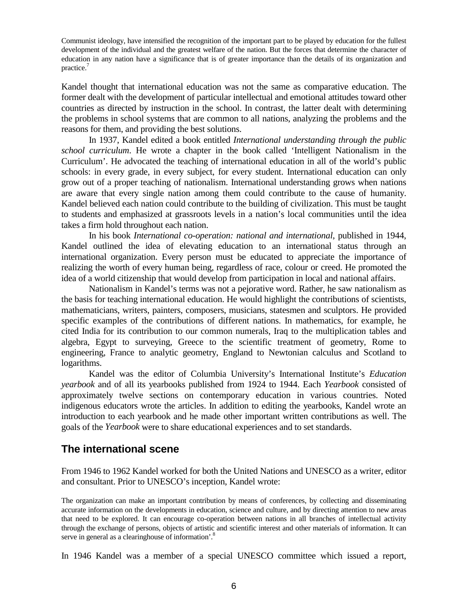Communist ideology, have intensified the recognition of the important part to be played by education for the fullest development of the individual and the greatest welfare of the nation. But the forces that determine the character of education in any nation have a significance that is of greater importance than the details of its organization and practice.<sup>7</sup>

Kandel thought that international education was not the same as comparative education. The former dealt with the development of particular intellectual and emotional attitudes toward other countries as directed by instruction in the school. In contrast, the latter dealt with determining the problems in school systems that are common to all nations, analyzing the problems and the reasons for them, and providing the best solutions.

In 1937, Kandel edited a book entitled *International understanding through the public school curriculum*. He wrote a chapter in the book called 'Intelligent Nationalism in the Curriculum'. He advocated the teaching of international education in all of the world's public schools: in every grade, in every subject, for every student. International education can only grow out of a proper teaching of nationalism. International understanding grows when nations are aware that every single nation among them could contribute to the cause of humanity. Kandel believed each nation could contribute to the building of civilization. This must be taught to students and emphasized at grassroots levels in a nation's local communities until the idea takes a firm hold throughout each nation.

In his book *International co-operation: national and international*, published in 1944, Kandel outlined the idea of elevating education to an international status through an international organization. Every person must be educated to appreciate the importance of realizing the worth of every human being, regardless of race, colour or creed. He promoted the idea of a world citizenship that would develop from participation in local and national affairs.

Nationalism in Kandel's terms was not a pejorative word. Rather, he saw nationalism as the basis for teaching international education. He would highlight the contributions of scientists, mathematicians, writers, painters, composers, musicians, statesmen and sculptors. He provided specific examples of the contributions of different nations. In mathematics, for example, he cited India for its contribution to our common numerals, Iraq to the multiplication tables and algebra, Egypt to surveying, Greece to the scientific treatment of geometry, Rome to engineering, France to analytic geometry, England to Newtonian calculus and Scotland to logarithms.

Kandel was the editor of Columbia University's International Institute's *Education yearbook* and of all its yearbooks published from 1924 to 1944. Each *Yearbook* consisted of approximately twelve sections on contemporary education in various countries. Noted indigenous educators wrote the articles. In addition to editing the yearbooks, Kandel wrote an introduction to each yearbook and he made other important written contributions as well. The goals of the *Yearbook* were to share educational experiences and to set standards.

# **The international scene**

From 1946 to 1962 Kandel worked for both the United Nations and UNESCO as a writer, editor and consultant. Prior to UNESCO's inception, Kandel wrote:

The organization can make an important contribution by means of conferences, by collecting and disseminating accurate information on the developments in education, science and culture, and by directing attention to new areas that need to be explored. It can encourage co-operation between nations in all branches of intellectual activity through the exchange of persons, objects of artistic and scientific interest and other materials of information. It can serve in general as a clearinghouse of information'.<sup>8</sup>

In 1946 Kandel was a member of a special UNESCO committee which issued a report,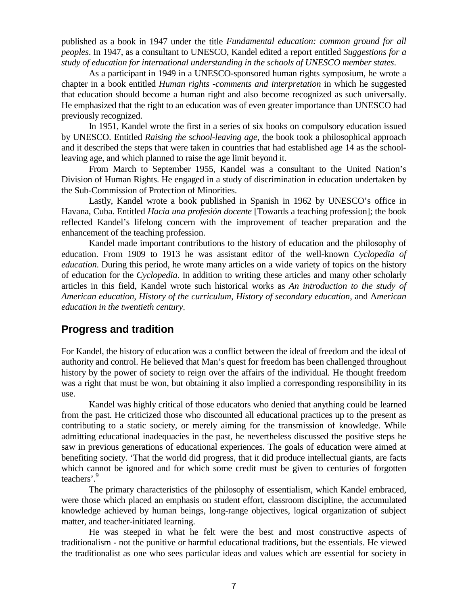published as a book in 1947 under the title *Fundamental education: common ground for all peoples*. In 1947, as a consultant to UNESCO, Kandel edited a report entitled *Suggestions for a study of education for international understanding in the schools of UNESCO member states*.

As a participant in 1949 in a UNESCO-sponsored human rights symposium, he wrote a chapter in a book entitled *Human rights -comments and interpretation* in which he suggested that education should become a human right and also become recognized as such universally. He emphasized that the right to an education was of even greater importance than UNESCO had previously recognized.

In 1951, Kandel wrote the first in a series of six books on compulsory education issued by UNESCO. Entitled *Raising the school-leaving age*, the book took a philosophical approach and it described the steps that were taken in countries that had established age 14 as the schoolleaving age, and which planned to raise the age limit beyond it.

From March to September 1955, Kandel was a consultant to the United Nation's Division of Human Rights. He engaged in a study of discrimination in education undertaken by the Sub-Commission of Protection of Minorities.

Lastly, Kandel wrote a book published in Spanish in 1962 by UNESCO's office in Havana, Cuba. Entitled *Hacia una profesión docente* [Towards a teaching profession]; the book reflected Kandel's lifelong concern with the improvement of teacher preparation and the enhancement of the teaching profession.

Kandel made important contributions to the history of education and the philosophy of education. From 1909 to 1913 he was assistant editor of the well-known *Cyclopedia of education*. During this period, he wrote many articles on a wide variety of topics on the history of education for the *Cyclopedia*. In addition to writing these articles and many other scholarly articles in this field, Kandel wrote such historical works as *An introduction to the study of American education*, *History of the curriculum*, *History of secondary education*, and A*merican education in the twentieth century*.

# **Progress and tradition**

For Kandel, the history of education was a conflict between the ideal of freedom and the ideal of authority and control. He believed that Man's quest for freedom has been challenged throughout history by the power of society to reign over the affairs of the individual. He thought freedom was a right that must be won, but obtaining it also implied a corresponding responsibility in its use.

Kandel was highly critical of those educators who denied that anything could be learned from the past. He criticized those who discounted all educational practices up to the present as contributing to a static society, or merely aiming for the transmission of knowledge. While admitting educational inadequacies in the past, he nevertheless discussed the positive steps he saw in previous generations of educational experiences. The goals of education were aimed at benefiting society. 'That the world did progress, that it did produce intellectual giants, are facts which cannot be ignored and for which some credit must be given to centuries of forgotten teachers'.<sup>9</sup>

The primary characteristics of the philosophy of essentialism, which Kandel embraced, were those which placed an emphasis on student effort, classroom discipline, the accumulated knowledge achieved by human beings, long-range objectives, logical organization of subject matter, and teacher-initiated learning.

He was steeped in what he felt were the best and most constructive aspects of traditionalism - not the punitive or harmful educational traditions, but the essentials. He viewed the traditionalist as one who sees particular ideas and values which are essential for society in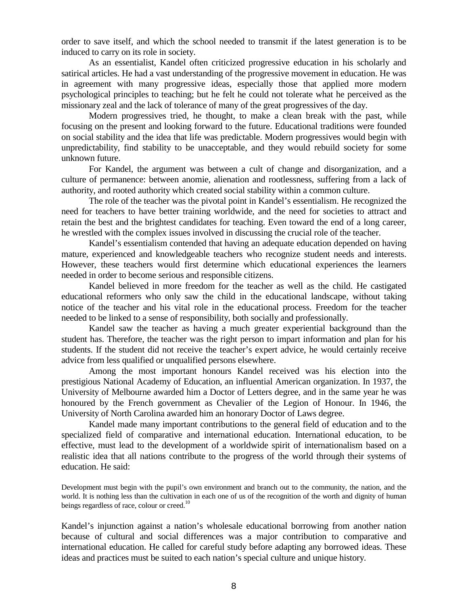order to save itself, and which the school needed to transmit if the latest generation is to be induced to carry on its role in society.

As an essentialist, Kandel often criticized progressive education in his scholarly and satirical articles. He had a vast understanding of the progressive movement in education. He was in agreement with many progressive ideas, especially those that applied more modern psychological principles to teaching; but he felt he could not tolerate what he perceived as the missionary zeal and the lack of tolerance of many of the great progressives of the day.

Modern progressives tried, he thought, to make a clean break with the past, while focusing on the present and looking forward to the future. Educational traditions were founded on social stability and the idea that life was predictable. Modern progressives would begin with unpredictability, find stability to be unacceptable, and they would rebuild society for some unknown future.

For Kandel, the argument was between a cult of change and disorganization, and a culture of permanence: between anomie, alienation and rootlessness, suffering from a lack of authority, and rooted authority which created social stability within a common culture.

The role of the teacher was the pivotal point in Kandel's essentialism. He recognized the need for teachers to have better training worldwide, and the need for societies to attract and retain the best and the brightest candidates for teaching. Even toward the end of a long career, he wrestled with the complex issues involved in discussing the crucial role of the teacher.

Kandel's essentialism contended that having an adequate education depended on having mature, experienced and knowledgeable teachers who recognize student needs and interests. However, these teachers would first determine which educational experiences the learners needed in order to become serious and responsible citizens.

Kandel believed in more freedom for the teacher as well as the child. He castigated educational reformers who only saw the child in the educational landscape, without taking notice of the teacher and his vital role in the educational process. Freedom for the teacher needed to be linked to a sense of responsibility, both socially and professionally.

Kandel saw the teacher as having a much greater experiential background than the student has. Therefore, the teacher was the right person to impart information and plan for his students. If the student did not receive the teacher's expert advice, he would certainly receive advice from less qualified or unqualified persons elsewhere.

Among the most important honours Kandel received was his election into the prestigious National Academy of Education, an influential American organization. In 1937, the University of Melbourne awarded him a Doctor of Letters degree, and in the same year he was honoured by the French government as Chevalier of the Legion of Honour. In 1946, the University of North Carolina awarded him an honorary Doctor of Laws degree.

Kandel made many important contributions to the general field of education and to the specialized field of comparative and international education. International education, to be effective, must lead to the development of a worldwide spirit of internationalism based on a realistic idea that all nations contribute to the progress of the world through their systems of education. He said:

Development must begin with the pupil's own environment and branch out to the community, the nation, and the world. It is nothing less than the cultivation in each one of us of the recognition of the worth and dignity of human beings regardless of race, colour or creed.<sup>10</sup>

Kandel's injunction against a nation's wholesale educational borrowing from another nation because of cultural and social differences was a major contribution to comparative and international education. He called for careful study before adapting any borrowed ideas. These ideas and practices must be suited to each nation's special culture and unique history.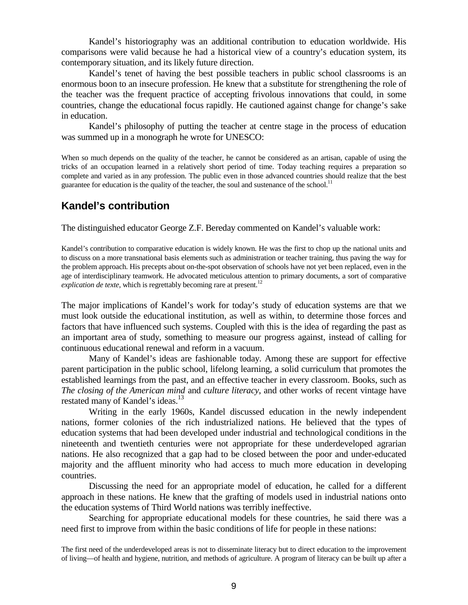Kandel's historiography was an additional contribution to education worldwide. His comparisons were valid because he had a historical view of a country's education system, its contemporary situation, and its likely future direction.

Kandel's tenet of having the best possible teachers in public school classrooms is an enormous boon to an insecure profession. He knew that a substitute for strengthening the role of the teacher was the frequent practice of accepting frivolous innovations that could, in some countries, change the educational focus rapidly. He cautioned against change for change's sake in education.

Kandel's philosophy of putting the teacher at centre stage in the process of education was summed up in a monograph he wrote for UNESCO:

When so much depends on the quality of the teacher, he cannot be considered as an artisan, capable of using the tricks of an occupation learned in a relatively short period of time. Today teaching requires a preparation so complete and varied as in any profession. The public even in those advanced countries should realize that the best guarantee for education is the quality of the teacher, the soul and sustenance of the school.<sup>11</sup>

# **Kandel's contribution**

The distinguished educator George Z.F. Bereday commented on Kandel's valuable work:

Kandel's contribution to comparative education is widely known. He was the first to chop up the national units and to discuss on a more transnational basis elements such as administration or teacher training, thus paving the way for the problem approach. His precepts about on-the-spot observation of schools have not yet been replaced, even in the age of interdisciplinary teamwork. He advocated meticulous attention to primary documents, a sort of comparative *explication de texte*, which is regrettably becoming rare at present.<sup>12</sup>

The major implications of Kandel's work for today's study of education systems are that we must look outside the educational institution, as well as within, to determine those forces and factors that have influenced such systems. Coupled with this is the idea of regarding the past as an important area of study, something to measure our progress against, instead of calling for continuous educational renewal and reform in a vacuum.

Many of Kandel's ideas are fashionable today. Among these are support for effective parent participation in the public school, lifelong learning, a solid curriculum that promotes the established learnings from the past, and an effective teacher in every classroom. Books, such as *The closing of the American mind* and *culture literacy*, and other works of recent vintage have restated many of Kandel's ideas.<sup>13</sup>

Writing in the early 1960s, Kandel discussed education in the newly independent nations, former colonies of the rich industrialized nations. He believed that the types of education systems that had been developed under industrial and technological conditions in the nineteenth and twentieth centuries were not appropriate for these underdeveloped agrarian nations. He also recognized that a gap had to be closed between the poor and under-educated majority and the affluent minority who had access to much more education in developing countries.

Discussing the need for an appropriate model of education, he called for a different approach in these nations. He knew that the grafting of models used in industrial nations onto the education systems of Third World nations was terribly ineffective.

Searching for appropriate educational models for these countries, he said there was a need first to improve from within the basic conditions of life for people in these nations:

The first need of the underdeveloped areas is not to disseminate literacy but to direct education to the improvement of living—of health and hygiene, nutrition, and methods of agriculture. A program of literacy can be built up after a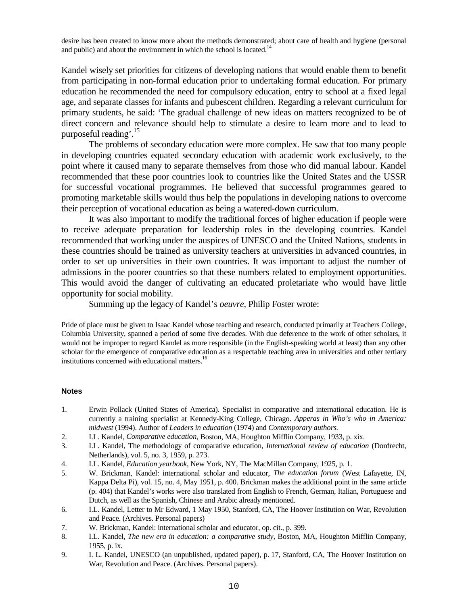desire has been created to know more about the methods demonstrated; about care of health and hygiene (personal and public) and about the environment in which the school is located.<sup>14</sup>

Kandel wisely set priorities for citizens of developing nations that would enable them to benefit from participating in non-formal education prior to undertaking formal education. For primary education he recommended the need for compulsory education, entry to school at a fixed legal age, and separate classes for infants and pubescent children. Regarding a relevant curriculum for primary students, he said: 'The gradual challenge of new ideas on matters recognized to be of direct concern and relevance should help to stimulate a desire to learn more and to lead to purposeful reading'.15

The problems of secondary education were more complex. He saw that too many people in developing countries equated secondary education with academic work exclusively, to the point where it caused many to separate themselves from those who did manual labour. Kandel recommended that these poor countries look to countries like the United States and the USSR for successful vocational programmes. He believed that successful programmes geared to promoting marketable skills would thus help the populations in developing nations to overcome their perception of vocational education as being a watered-down curriculum.

It was also important to modify the traditional forces of higher education if people were to receive adequate preparation for leadership roles in the developing countries. Kandel recommended that working under the auspices of UNESCO and the United Nations, students in these countries should be trained as university teachers at universities in advanced countries, in order to set up universities in their own countries. It was important to adjust the number of admissions in the poorer countries so that these numbers related to employment opportunities. This would avoid the danger of cultivating an educated proletariate who would have little opportunity for social mobility.

Summing up the legacy of Kandel's *oeuvre*, Philip Foster wrote:

Pride of place must be given to Isaac Kandel whose teaching and research, conducted primarily at Teachers College, Columbia University, spanned a period of some five decades. With due deference to the work of other scholars, it would not be improper to regard Kandel as more responsible (in the English-speaking world at least) than any other scholar for the emergence of comparative education as a respectable teaching area in universities and other tertiary institutions concerned with educational matters.<sup>16</sup>

#### **Notes**

- 1. Erwin Pollack (United States of America). Specialist in comparative and international education. He is currently a training specialist at Kennedy-King College, Chicago. *Apperas in Who's who in America: midwest* (1994). Author of *Leaders in education* (1974) and *Contemporary authors.*
- 2. I.L. Kandel, *Comparative education*, Boston, MA, Houghton Mifflin Company, 1933, p. xix.
- 3. I.L. Kandel, The methodology of comparative education, *International review of education* (Dordrecht, Netherlands), vol. 5, no. 3, 1959, p. 273.
- 4. I.L. Kandel, *Education yearbook*, New York, NY, The MacMillan Company, 1925, p. 1.
- 5. W. Brickman, Kandel: international scholar and educator, *The education forum* (West Lafayette, IN, Kappa Delta Pi), vol. 15, no. 4, May 1951, p. 400. Brickman makes the additional point in the same article (p. 404) that Kandel's works were also translated from English to French, German, Italian, Portuguese and Dutch, as well as the Spanish, Chinese and Arabic already mentioned.
- 6. I.L. Kandel, Letter to Mr Edward, 1 May 1950, Stanford, CA, The Hoover Institution on War, Revolution and Peace. (Archives. Personal papers)
- 7. W. Brickman, Kandel: international scholar and educator, op. cit., p. 399.
- 8. I.L. Kandel, *The new era in education: a comparative study*, Boston, MA, Houghton Mifflin Company, 1955, p. ix.
- 9. I. L. Kandel, UNESCO (an unpublished, updated paper), p. 17, Stanford, CA, The Hoover Institution on War, Revolution and Peace. (Archives. Personal papers).